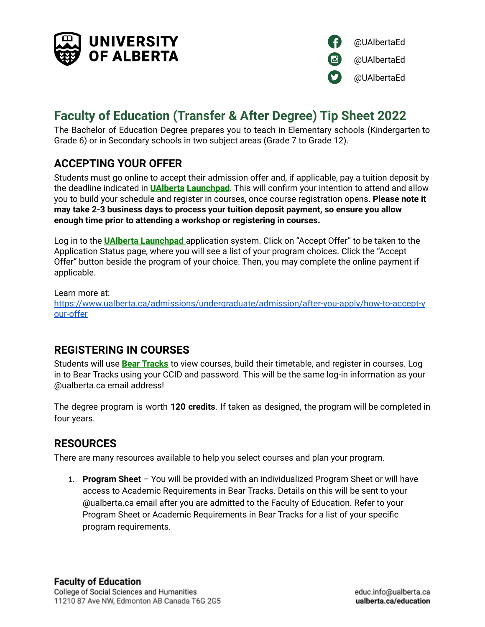



# **Faculty of Education (Transfer & After Degree) Tip Sheet 2022**

The Bachelor of Education Degree prepares you to teach in Elementary schools (Kindergarten to Grade 6) or in Secondary schools in two subject areas (Grade 7 to Grade 12).

## **ACCEPTING YOUR OFFER**

Students must go online to accept their admission offer and, if applicable, pay a tuition deposit by the deadline indicated in **UAlberta Launchpad**. This will confirm your intention to attend and allow you to build your schedule and register in courses, once course registration opens. **Please note it may take 2-3 business days to process your tuition deposit payment, so ensure you allow enough time prior to attending a workshop or registering in courses.**

Log in to the **UAlberta Launchpad** application system. Click on "Accept Offer" to be taken to the Application Status page, where you will see a list of your program choices. Click the "Accept Offer" button beside the program of your choice. Then, you may complete the online payment if applicable.

Learn more at: https://www.ualberta.ca/admissions/undergraduate/admission/after-you-apply/how-to-accept-y our-offer

### **REGISTERING IN COURSES**

Students will use **Bear [Tracks](https://www.beartracks.ualberta.ca/)** to view courses, build their timetable, and register in courses. Log in to Bear Tracks using your CCID and password. This will be the same log-in information as your @ualberta.ca email address!

The degree program is worth **120 credits**. If taken as designed, the program will be completed in four years.

# **RESOURCES**

There are many resources available to help you select courses and plan your program.

1. **Program Sheet** – You will be provided with an individualized Program Sheet or will have access to Academic Requirements in Bear Tracks. Details on this will be sent to your @ualberta.ca email after you are admitted to the Faculty of Education. Refer to your Program Sheet or Academic Requirements in Bear Tracks for a list of your specific program requirements.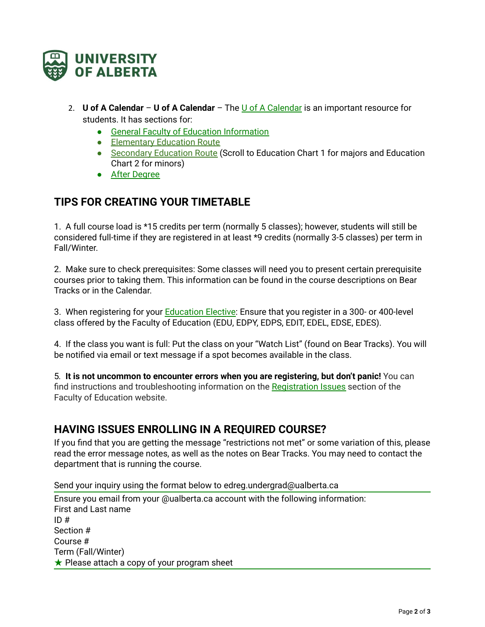

- 2. **U of A Calendar U of A Calendar** The U of A [Calendar](https://calendar.ualberta.ca/index.php) is an important resource for students. It has sections for:
	- General Faculty of Education [Information](https://calendar.ualberta.ca/preview_entity.php?catoid=33&ent_oid=4292)
	- [Elementary](https://calendar.ualberta.ca/preview_program.php?catoid=33&poid=37627) Education Route
	- [Secondary](https://calendar.ualberta.ca/preview_program.php?catoid=33&poid=37627) Education Route (Scroll to Education Chart 1 for majors and Education Chart 2 for minors)
	- After [Degree](https://calendar.ualberta.ca/preview_program.php?catoid=33&poid=37783)

### **TIPS FOR CREATING YOUR TIMETABLE**

1. A full course load is \*15 credits per term (normally 5 classes); however, students will still be considered full-time if they are registered in at least \*9 credits (normally 3-5 classes) per term in Fall/Winter.

2. Make sure to check prerequisites: Some classes will need you to present certain prerequisite courses prior to taking them. This information can be found in the course descriptions on Bear Tracks or in the Calendar.

3. When registering for your **[Education](https://education-student-services.ualberta.ca/your-program-and-registration#registration) Elective**: Ensure that you register in a 300- or 400-level class offered by the Faculty of Education (EDU, EDPY, EDPS, EDIT, EDEL, EDSE, EDES).

4. If the class you want is full: Put the class on your "Watch List" (found on Bear Tracks). You will be notified via email or text message if a spot becomes available in the class.

5*.* **It is not uncommon to encounter errors when you are registering, but don't panic!** You can find instructions and troubleshooting information on the [Registration](https://education-student-services.ualberta.ca/your-program-and-registration#registration) Issues section of the Faculty of Education website.

### **HAVING ISSUES ENROLLING IN A REQUIRED COURSE?**

If you find that you are getting the message "restrictions not met" or some variation of this, please read the error message notes, as well as the notes on Bear Tracks. You may need to contact the department that is running the course.

Send your inquiry using the format below to edreg.undergrad@ualberta.ca

Ensure you email from your @ualberta.ca account with the following information: First and Last name  $ID#$ Section # Course # Term (Fall/Winter) ★ Please attach a copy of your program sheet